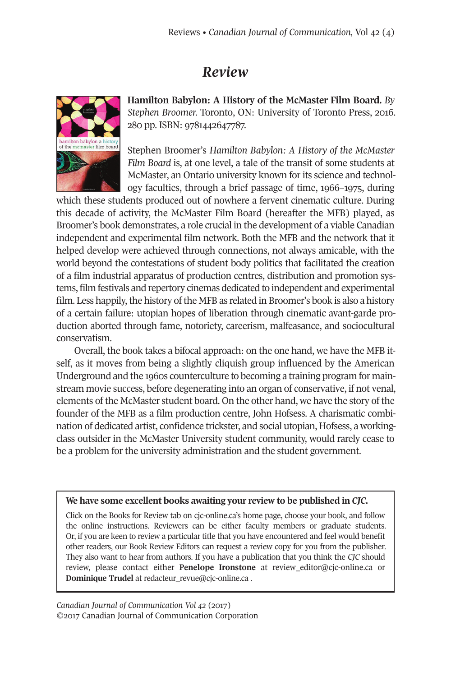## *Review*



**Hamilton Babylon: A History of the McMaster Film Board.** *By Stephen Broomer.* Toronto, ON: University of Toronto Press, 2016. 280 pp. ISBN: 9781442647787.

Stephen Broomer's *Hamilton Babylon: A History of the McMaster Film Board* is, at one level, a tale of the transit of some students at McMaster, an Ontario university known for its science and technology faculties, through a brief passage of time, 1966–1975, during

which these students produced out of nowhere a fervent cinematic culture. During this decade of activity, the McMaster Film Board (hereafter the MFB) played, as Broomer's book demonstrates, a role crucial in the development of a viable Canadian independent and experimental film network. Both the MFB and the network that it helped develop were achieved through connections, not always amicable, with the world beyond the contestations of student body politics that facilitated the creation of a film industrial apparatus of production centres, distribution and promotion systems, film festivals and repertory cinemas dedicated to independent and experimental film. Less happily, the history of the MFB as related in Broomer's book is also a history of a certain failure: utopian hopes of liberation through cinematic avant-garde production aborted through fame, notoriety, careerism, malfeasance, and sociocultural conservatism.

Overall, the book takes a bifocal approach: on the one hand, we have the MFB itself, as it moves from being a slightly cliquish group influenced by the American Underground and the 1960s counterculture to becoming a training program for mainstream movie success, before degenerating into an organ of conservative, if not venal, elements of the McMaster student board. On the other hand, we have the story of the founder of the MFB as a film production centre, John Hofsess. A charismatic combination of dedicated artist, confidence trickster, and social utopian, Hofsess, a workingclass outsider in the McMaster University student community, would rarely cease to be a problem for the university administration and the student government.

## **We have some excellent books awaiting your review to be published in** *CJC.*

Click on the Books for Review tab on cjc-online.ca's home page, choose your book, and follow the online instructions. Reviewers can be either faculty members or graduate students. Or, if you are keen to review a particular title that you have encountered and feel would benefit other readers, our Book Review Editors can request a review copy for you from the publisher. They also want to hear from authors. If you have a publication that you think the *CJC* should review, please contact either **Penelope Ironstone** at [review\\_editor@cjc-online.ca](mailto:review_editor@cjc-online.ca) or **Dominique Trudel** at [redacteur\\_revue@cjc-online.ca](mailto:redacteur_revue@cjc-online.ca) .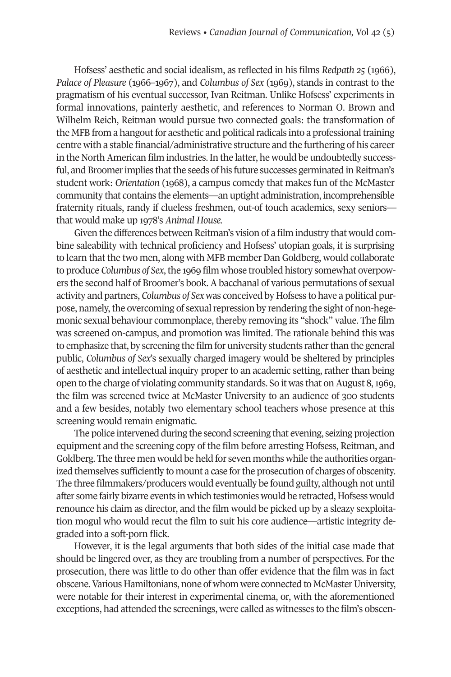Hofsess' aesthetic and social idealism, as reflected in his films *Redpath 25* (1966), *Palace of Pleasure* (1966–1967), and *Columbus of Sex* (1969), stands in contrast to the pragmatism of his eventual successor, Ivan Reitman. Unlike Hofsess' experiments in formal innovations, painterly aesthetic, and references to Norman O. Brown and Wilhelm Reich, Reitman would pursue two connected goals: the transformation of the MFB from a hangout for aesthetic and political radicals into a professional training centre with a stable financial/administrative structure and the furthering of his career in the North American film industries. In the latter, he would be undoubtedly successful, and Broomer implies that the seeds of his future successes germinated in Reitman's student work: *Orientation* (1968), a campus comedy that makes fun of the McMaster community that contains the elements—an uptight administration, incomprehensible fraternity rituals, randy if clueless freshmen, out-of touch academics, sexy seniors that would make up 1978's *Animal House.*

Given the differences between Reitman's vision of a film industry that would combine saleability with technical proficiency and Hofsess' utopian goals, it is surprising to learn that the two men, along with MFB member Dan Goldberg, would collaborate to produce *Columbus* of *Sex*, the 1969 film whose troubled history somewhat overpowers the second half of Broomer's book. A bacchanal of various permutations of sexual activity and partners, *Columbus of Sex* was conceived by Hofsess to have a political purpose, namely, the overcoming of sexual repression by rendering the sight of non-hegemonic sexual behaviour commonplace, thereby removing its "shock" value. The film was screened on-campus, and promotion was limited. The rationale behind this was to emphasize that, by screening the film for university students ratherthan the general public, *Columbus of Sex*'s sexually charged imagery would be sheltered by principles of aesthetic and intellectual inquiry proper to an academic setting, rather than being open to the charge of violating community standards. So it was that on August 8, 1969, the film was screened twice at McMaster University to an audience of 300 students and a few besides, notably two elementary school teachers whose presence at this screening would remain enigmatic.

The police intervened during the second screening that evening, seizing projection equipment and the screening copy of the film before arresting Hofsess, Reitman, and Goldberg. The three men would be held for seven months while the authorities organized themselves sufficiently to mount a case forthe prosecution of charges of obscenity. The three filmmakers/producers would eventually be found guilty, although not until after some fairly bizarre events in which testimonies would be retracted, Hofsess would renounce his claim as director, and the film would be picked up by a sleazy sexploitation mogul who would recut the film to suit his core audience—artistic integrity degraded into a soft-porn flick.

However, it is the legal arguments that both sides of the initial case made that should be lingered over, as they are troubling from a number of perspectives. For the prosecution, there was little to do other than offer evidence that the film was in fact obscene.Various Hamiltonians, none of whom were connected to McMasterUniversity, were notable for their interest in experimental cinema, or, with the aforementioned exceptions, had attended the screenings, were called as witnesses to the film's obscen-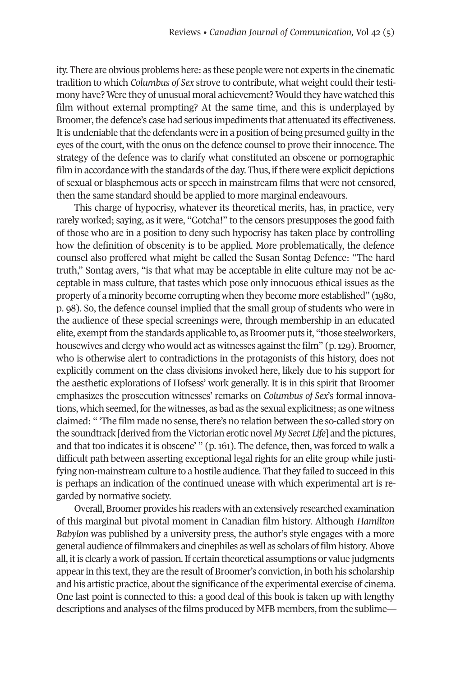ity. There are obvious problems here: as these people were not experts in the cinematic tradition to which *Columbus of Sex* strove to contribute, what weight could their testimony have? Were they of unusual moral achievement? Would they have watched this film without external prompting? At the same time, and this is underplayed by Broomer, the defence's case had serious impediments that attenuated its effectiveness. It is undeniable that the defendants were in a position of being presumed guilty in the eyes of the court, with the onus on the defence counsel to prove their innocence. The strategy of the defence was to clarify what constituted an obscene or pornographic film in accordance with the standards of the day. Thus, if there were explicit depictions of sexual or blasphemous acts or speech in mainstream films that were not censored, then the same standard should be applied to more marginal endeavours.

This charge of hypocrisy, whatever its theoretical merits, has, in practice, very rarely worked; saying, as it were, "Gotcha!" to the censors presupposes the good faith of those who are in a position to deny such hypocrisy has taken place by controlling how the definition of obscenity is to be applied. More problematically, the defence counsel also proffered what might be called the Susan Sontag Defence: "The hard truth," Sontag avers, "is that what may be acceptable in elite culture may not be acceptable in mass culture, that tastes which pose only innocuous ethical issues as the property of a minority become corrupting when they become more established" (1980, p. 98). So, the defence counsel implied that the small group of students who were in the audience of these special screenings were, through membership in an educated elite, exempt from the standards applicable to, as Broomer puts it, "those steelworkers, housewives and clergy who would act as witnesses against the film" (p. 129). Broomer, who is otherwise alert to contradictions in the protagonists of this history, does not explicitly comment on the class divisions invoked here, likely due to his support for the aesthetic explorations of Hofsess' work generally. It is in this spirit that Broomer emphasizes the prosecution witnesses' remarks on *Columbus of Sex*'s formal innovations, which seemed, for the witnesses, as bad as the sexual explicitness; as one witness claimed: " 'The film made no sense, there's no relation between the so-called story on the soundtrack [derived from the Victorian erotic novel *My Secret Life*] and the pictures, and that too indicates it is obscene' " (p. 161). The defence, then, was forced to walk a difficult path between asserting exceptional legal rights for an elite group while justifying non-mainstream culture to a hostile audience. That they failed to succeed in this is perhaps an indication of the continued unease with which experimental art is regarded by normative society.

Overall, Broomer provides his readers with an extensively researched examination of this marginal but pivotal moment in Canadian film history. Although *Hamilton Babylon* was published by a university press, the author's style engages with a more general audience of filmmakers and cinephiles as well as scholars of film history.Above all, it is clearly a work of passion. If certain theoretical assumptions or value judgments appear in this text, they are the result of Broomer's conviction, in both his scholarship and his artistic practice, about the significance of the experimental exercise of cinema. One last point is connected to this: a good deal of this book is taken up with lengthy descriptions and analyses of the films produced by MFB members, from the sublime